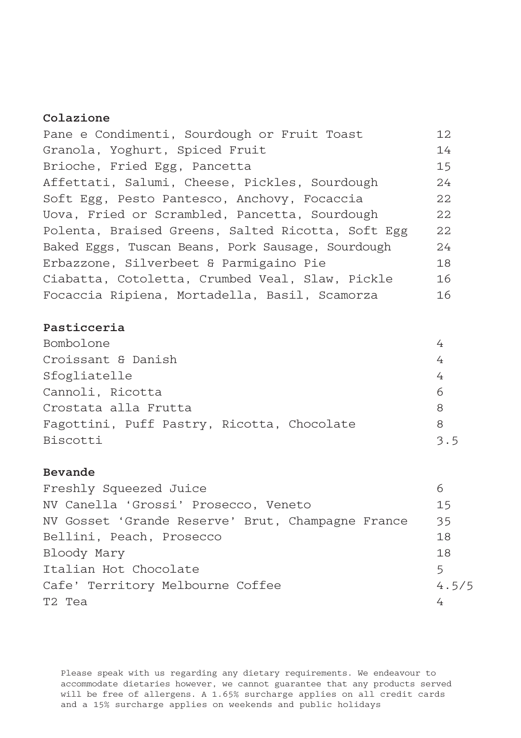## Colazione

| Pane e Condimenti, Sourdough or Fruit Toast       | 12 |
|---------------------------------------------------|----|
| Granola, Yoghurt, Spiced Fruit                    | 14 |
| Brioche, Fried Egg, Pancetta                      | 15 |
| Affettati, Salumi, Cheese, Pickles, Sourdough     | 24 |
| Soft Egg, Pesto Pantesco, Anchovy, Focaccia       | 22 |
| Uova, Fried or Scrambled, Pancetta, Sourdough     | 22 |
| Polenta, Braised Greens, Salted Ricotta, Soft Egg | 22 |
| Baked Eggs, Tuscan Beans, Pork Sausage, Sourdough | 24 |
| Erbazzone, Silverbeet & Parmigaino Pie            | 18 |
| Ciabatta, Cotoletta, Crumbed Veal, Slaw, Pickle   | 16 |
| Focaccia Ripiena, Mortadella, Basil, Scamorza     | 16 |

## Pasticceria

| Bombolone                                  |     |
|--------------------------------------------|-----|
| Croissant & Danish                         |     |
| Sfogliatelle                               |     |
| Cannoli, Ricotta                           | 6   |
| Crostata alla Frutta                       | 8   |
| Fagottini, Puff Pastry, Ricotta, Chocolate | 8   |
| Biscotti                                   | 3.5 |

# Bevande

| Freshly Squeezed Juice                            |       |
|---------------------------------------------------|-------|
| NV Canella 'Grossi' Prosecco, Veneto              | 15    |
| NV Gosset 'Grande Reserve' Brut, Champagne France | 35    |
| Bellini, Peach, Prosecco                          | 18    |
| Bloody Mary                                       | 18    |
| Italian Hot Chocolate                             | 5     |
| Cafe' Territory Melbourne Coffee                  | 4.5/5 |
| T2 Tea                                            |       |

Please speak with us regarding any dietary requirements. We endeavour to accommodate dietaries however, we cannot guarantee that any products served will be free of allergens. A 1.65% surcharge applies on all credit cards and a 15% surcharge applies on weekends and public holidays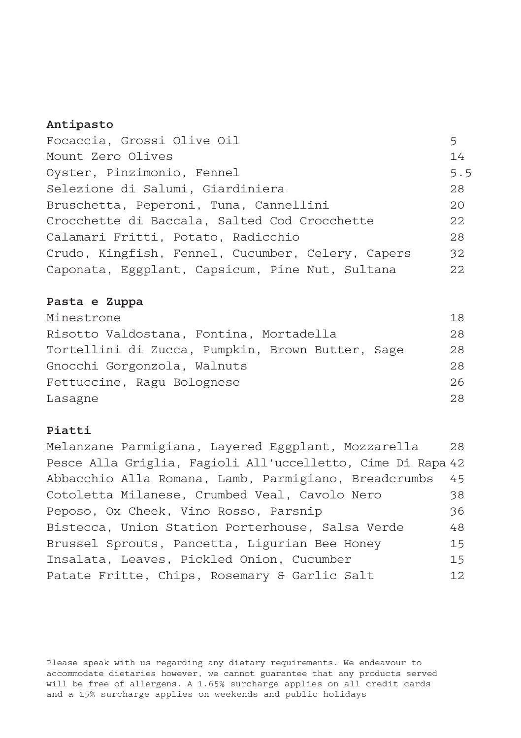#### Antipasto

| Focaccia, Grossi Olive Oil                        | 5   |
|---------------------------------------------------|-----|
| Mount Zero Olives                                 | 14  |
| Oyster, Pinzimonio, Fennel                        | 5.5 |
| Selezione di Salumi, Giardiniera                  | 28  |
| Bruschetta, Peperoni, Tuna, Cannellini            | 20  |
| Crocchette di Baccala, Salted Cod Crocchette      | 22  |
| Calamari Fritti, Potato, Radicchio                | 28  |
| Crudo, Kingfish, Fennel, Cucumber, Celery, Capers | 32  |
| Caponata, Eggplant, Capsicum, Pine Nut, Sultana   | 22  |

#### Pasta e Zuppa

| Minestrone                                       | 18  |
|--------------------------------------------------|-----|
| Risotto Valdostana, Fontina, Mortadella          | 28  |
| Tortellini di Zucca, Pumpkin, Brown Butter, Sage | 28  |
| Gnocchi Gorgonzola, Walnuts                      | 28  |
| Fettuccine, Ragu Bolognese                       | 2.6 |
| Lasagne                                          | 2.8 |

### Piatti

Melanzane Parmigiana, Layered Eggplant, Mozzarella 28 Pesce Alla Griglia, Fagioli All'uccelletto, Cime Di Rapa 42 Abbacchio Alla Romana, Lamb, Parmigiano, Breadcrumbs 45 Cotoletta Milanese, Crumbed Veal, Cavolo Nero 38 Peposo, Ox Cheek, Vino Rosso, Parsnip 36 Bistecca, Union Station Porterhouse, Salsa Verde 48 Brussel Sprouts, Pancetta, Ligurian Bee Honey 15 Insalata, Leaves, Pickled Onion, Cucumber 15 Patate Fritte, Chips, Rosemary & Garlic Salt 12

Please speak with us regarding any dietary requirements. We endeavour to accommodate dietaries however, we cannot guarantee that any products served will be free of allergens. A 1.65% surcharge applies on all credit cards and a 15% surcharge applies on weekends and public holidays